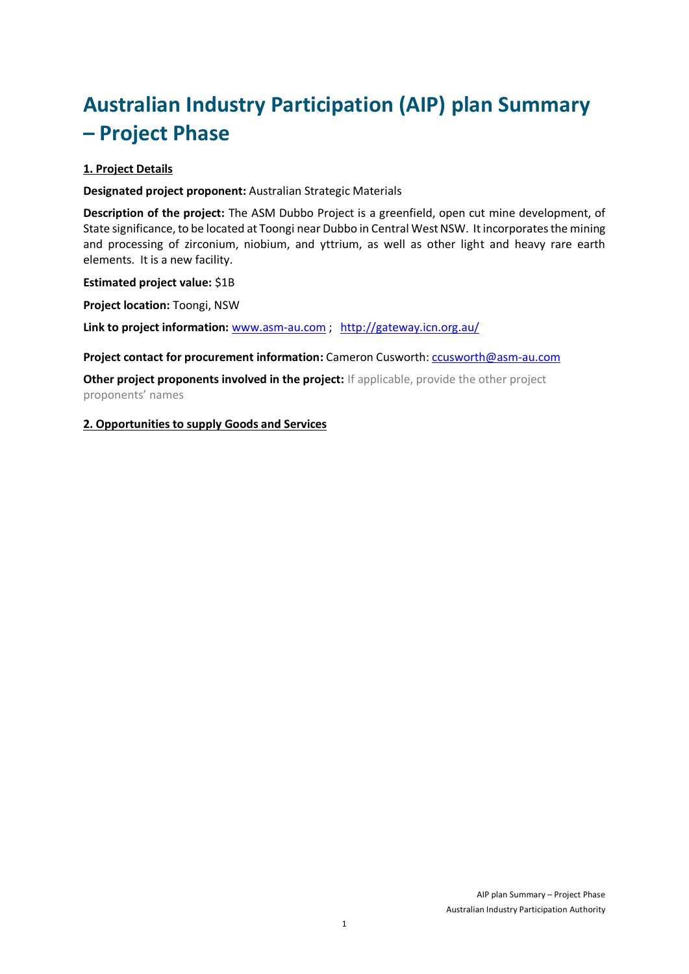# **Australian Industry Participation (AIP) plan Summary – Project Phase**

# **1. Project Details**

**Designated project proponent:** Australian Strategic Materials

**Description of the project:** The ASM Dubbo Project is a greenfield, open cut mine development, of State significance, to be located at Toongi near Dubbo in Central West NSW. It incorporates the mining and processing of zirconium, niobium, and yttrium, as well as other light and heavy rare earth elements. It is a new facility.

**Estimated project value:** \$1B

**Project location:** Toongi, NSW

**Link to project information:** [www.asm-au.com](http://www.asm-au.com/) ; <http://gateway.icn.org.au/>

**Project contact for procurement information:** Cameron Cusworth[: ccusworth@asm-au.com](mailto:ccusworth@asm-au.com)

**Other project proponents involved in the project:** If applicable, provide the other project proponents' names

## **2. Opportunities to supply Goods and Services**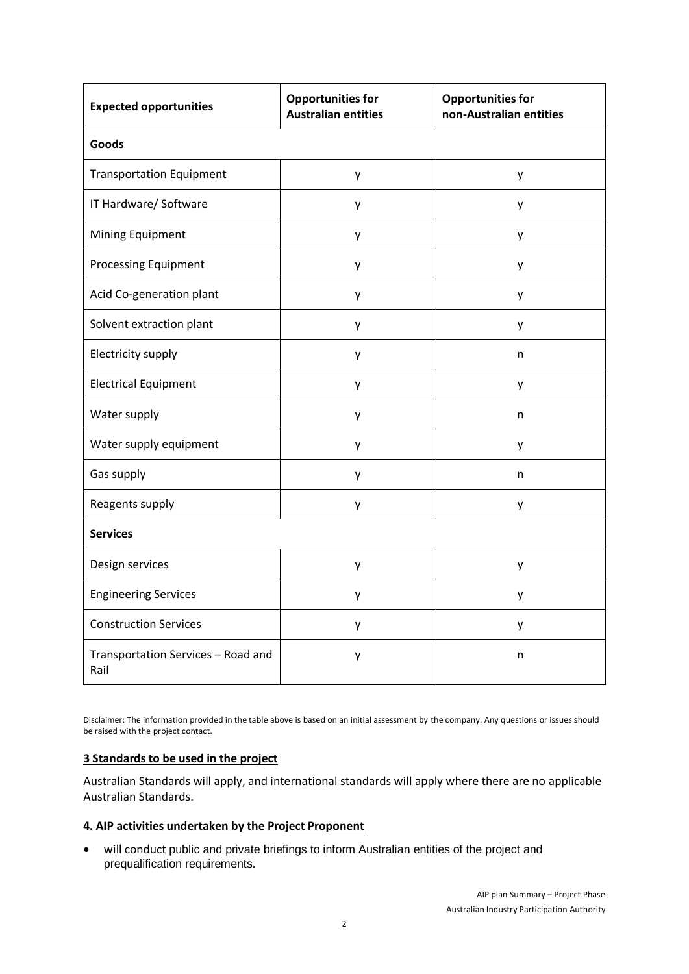| <b>Expected opportunities</b>              | <b>Opportunities for</b><br><b>Australian entities</b> | <b>Opportunities for</b><br>non-Australian entities |
|--------------------------------------------|--------------------------------------------------------|-----------------------------------------------------|
| <b>Goods</b>                               |                                                        |                                                     |
| <b>Transportation Equipment</b>            | y                                                      | y                                                   |
| IT Hardware/ Software                      | y                                                      | у                                                   |
| Mining Equipment                           | у                                                      | y                                                   |
| <b>Processing Equipment</b>                | y                                                      | у                                                   |
| Acid Co-generation plant                   | y                                                      | y                                                   |
| Solvent extraction plant                   | у                                                      | y                                                   |
| Electricity supply                         | У                                                      | n                                                   |
| <b>Electrical Equipment</b>                | y                                                      | у                                                   |
| Water supply                               | y                                                      | n                                                   |
| Water supply equipment                     | у                                                      | у                                                   |
| Gas supply                                 | у                                                      | n                                                   |
| Reagents supply                            | y                                                      | y                                                   |
| <b>Services</b>                            |                                                        |                                                     |
| Design services                            | y                                                      | y                                                   |
| <b>Engineering Services</b>                | y                                                      | y                                                   |
| <b>Construction Services</b>               | y                                                      | у                                                   |
| Transportation Services - Road and<br>Rail | у                                                      | n                                                   |

Disclaimer: The information provided in the table above is based on an initial assessment by the company. Any questions or issues should be raised with the project contact.

#### **3 Standards to be used in the project**

Australian Standards will apply, and international standards will apply where there are no applicable Australian Standards.

#### **4. AIP activities undertaken by the Project Proponent**

 will conduct public and private briefings to inform Australian entities of the project and prequalification requirements.